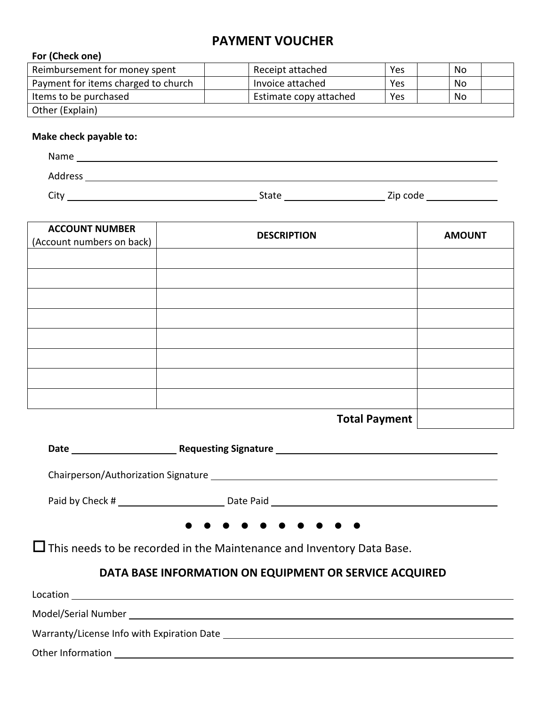# **PAYMENT VOUCHER**

#### **For (Check one)**

| Reimbursement for money spent       | Receipt attached       | Yes | No |  |
|-------------------------------------|------------------------|-----|----|--|
| Payment for items charged to church | Invoice attached       | Yes | No |  |
| Items to be purchased               | Estimate copy attached | Yes | No |  |
| Other (Explain)                     |                        |     |    |  |

#### **Make check payable to:**

| Name    |       |          |  |
|---------|-------|----------|--|
| Address |       |          |  |
| City    | State | Zip code |  |

| <b>ACCOUNT NUMBER</b><br>(Account numbers on back) | <b>DESCRIPTION</b>   | <b>AMOUNT</b> |
|----------------------------------------------------|----------------------|---------------|
|                                                    |                      |               |
|                                                    |                      |               |
|                                                    |                      |               |
|                                                    |                      |               |
|                                                    |                      |               |
|                                                    |                      |               |
|                                                    |                      |               |
|                                                    |                      |               |
|                                                    | <b>Total Payment</b> |               |

**Date Requesting Signature**  Chairperson/Authorization Signature Paid by Check # Date Paid Date Paid Date Paid Date Paid Date Paid Date Paid Date Paid Date Paid Date Paid Date Paid 

This needs to be recorded in the Maintenance and Inventory Data Base.

## **DATA BASE INFORMATION ON EQUIPMENT OR SERVICE ACQUIRED**

| Location                                   |  |
|--------------------------------------------|--|
|                                            |  |
| Warranty/License Info with Expiration Date |  |
| Other Information                          |  |